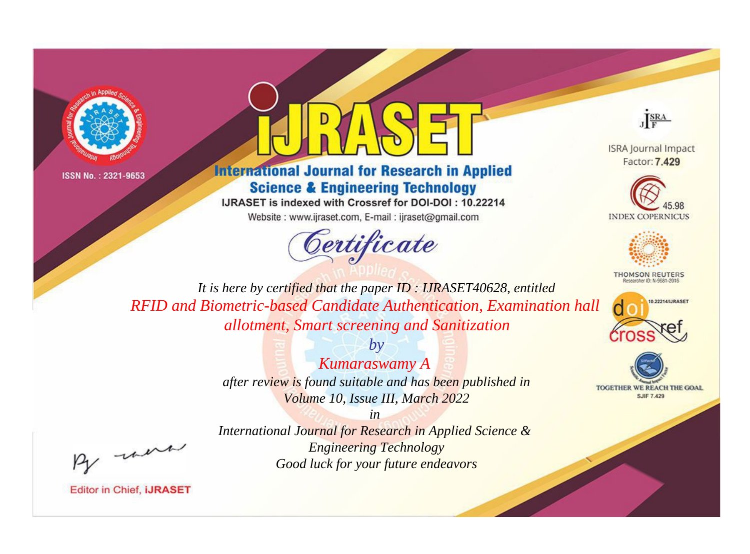



## **International Journal for Research in Applied Science & Engineering Technology**

IJRASET is indexed with Crossref for DOI-DOI: 10.22214

Website: www.ijraset.com, E-mail: ijraset@gmail.com





**ISRA Journal Impact** Factor: 7.429





**THOMSON REUTERS** 



TOGETHER WE REACH THE GOAL **SJIF 7.429** 

*It is here by certified that the paper ID : IJRASET40628, entitled RFID and Biometric-based Candidate Authentication, Examination hall allotment, Smart screening and Sanitization*

> *by Kumaraswamy A after review is found suitable and has been published in Volume 10, Issue III, March 2022*

were

*International Journal for Research in Applied Science & Engineering Technology Good luck for your future endeavors*

*in*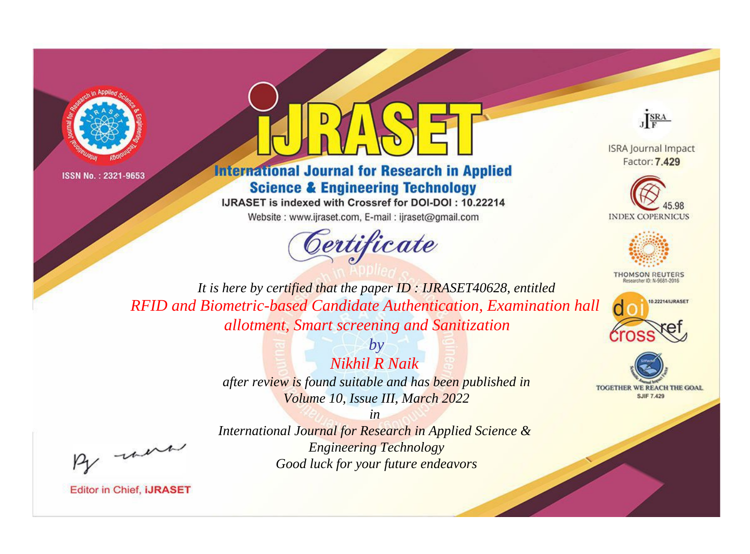



# **International Journal for Research in Applied Science & Engineering Technology**

IJRASET is indexed with Crossref for DOI-DOI: 10.22214

Website: www.ijraset.com, E-mail: ijraset@gmail.com





**ISRA Journal Impact** Factor: 7.429





**THOMSON REUTERS** 



TOGETHER WE REACH THE GOAL **SJIF 7.429** 

*It is here by certified that the paper ID : IJRASET40628, entitled RFID and Biometric-based Candidate Authentication, Examination hall allotment, Smart screening and Sanitization*

> *by Nikhil R Naik after review is found suitable and has been published in Volume 10, Issue III, March 2022*

> > *in*

*International Journal for Research in Applied Science & Engineering Technology Good luck for your future endeavors*

were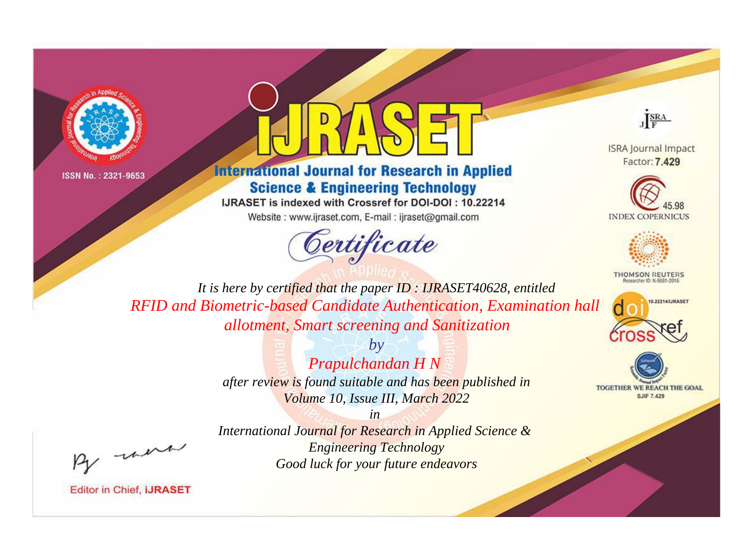



# **International Journal for Research in Applied Science & Engineering Technology**

IJRASET is indexed with Crossref for DOI-DOI: 10.22214 Website: www.ijraset.com, E-mail: ijraset@gmail.com



JERA

**ISRA Journal Impact** Factor: 7.429





**THOMSON REUTERS** 



TOGETHER WE REACH THE GOAL **SJIF 7.429** 

*It is here by certified that the paper ID : IJRASET40628, entitled RFID and Biometric-based Candidate Authentication, Examination hall allotment, Smart screening and Sanitization*

> *by Prapulchandan H N after review is found suitable and has been published in Volume 10, Issue III, March 2022*

were

*International Journal for Research in Applied Science & Engineering Technology Good luck for your future endeavors*

*in*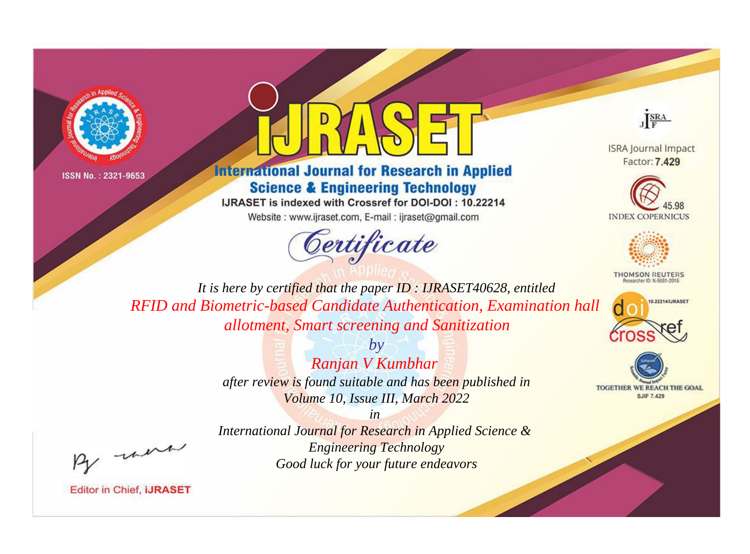



# **International Journal for Research in Applied Science & Engineering Technology**

IJRASET is indexed with Crossref for DOI-DOI: 10.22214 Website: www.ijraset.com, E-mail: ijraset@gmail.com



JERA

**ISRA Journal Impact** Factor: 7.429





**THOMSON REUTERS** 



TOGETHER WE REACH THE GOAL **SJIF 7.429** 

*It is here by certified that the paper ID : IJRASET40628, entitled RFID and Biometric-based Candidate Authentication, Examination hall allotment, Smart screening and Sanitization*

> *by Ranjan V Kumbhar after review is found suitable and has been published in Volume 10, Issue III, March 2022*

were

*International Journal for Research in Applied Science & Engineering Technology Good luck for your future endeavors*

*in*